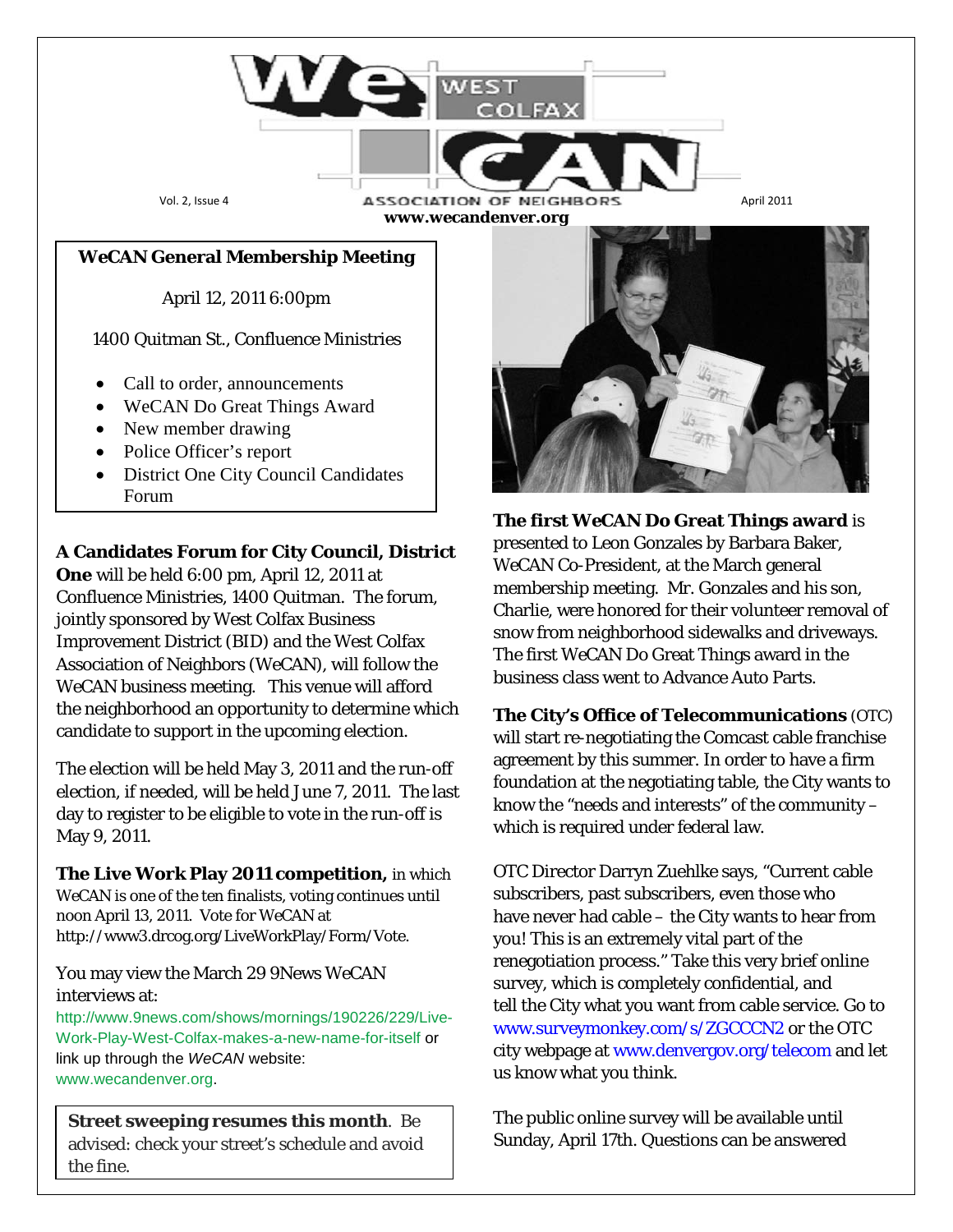Vol. 2, Issue 4 **ASSOCIATION OF NEIGHBORS** April 2011 **www.wecandenver.org**

*WeCAN* **General Membership Meeting**

April 12, 2011 6:00pm

1400 Quitman St., Confluence Ministries

- Call to order, announcements
- WeCAN Do Great Things Award
- New member drawing
- Police Officer's report
- District One City Council Candidates Forum

**A Candidates Forum for City Council, District** 

**One** will be held 6:00 pm, April 12, 2011 at Confluence Ministries, 1400 Quitman. The forum, jointly sponsored by West Colfax Business Improvement District (BID) and the West Colfax Association of Neighbors (WeCAN), will follow the *WeCAN* business meeting. This venue will afford the neighborhood an opportunity to determine which candidate to support in the upcoming election.

The election will be held May 3, 2011 and the run-off election, if needed, will be held June 7, 2011. The last day to register to be eligible to vote in the run-off is May 9, 2011.

**The Live Work Play 2011 competition,** in which *WeCAN* is one of the ten finalists, voting continues until noon April 13, 2011. Vote for *WeCAN* at http://www3.drcog.org/LiveWorkPlay/Form/Vote.

### You may view the March 29 9News *WeCAN* interviews at:

[http://www.9news.com/shows/mornings/190226/229/Live-](http://www.9news.com/shows/mornings/190226/229/Live-Work-Play-West-Colfax-makes-a-new-name-for-itself)[Work-Play-West-Colfax-makes-a-new-name-for-itself o](http://www.9news.com/shows/mornings/190226/229/Live-Work-Play-West-Colfax-makes-a-new-name-for-itself)r link up through the *WeCAN* website: [www.wecandenver.org.](http://www.wecandenver.org/)

**Street sweeping resumes this month**. Be advised: check your street's schedule and avoid the fine.



**The first** *WeCAN* **Do Great Things award** is presented to Leon Gonzales by Barbara Baker, *WeCAN* Co-President, at the March general membership meeting. Mr. Gonzales and his son, Charlie, were honored for their volunteer removal of snow from neighborhood sidewalks and driveways. The first *WeCAN* Do Great Things award in the business class went to Advance Auto Parts.

**The City's Office of Telecommunications** (OTC) will start re-negotiating the Comcast cable franchise agreement by this summer. In order to have a firm foundation at the negotiating table, the City wants to know the "needs and interests" of the community – which is required under federal law.

OTC Director Darryn Zuehlke says, "Current cable subscribers, past subscribers, even those who have never had cable – the City wants to hear from you! This is an extremely vital part of the renegotiation process." Take this very brief online survey, which is completely confidential, and tell the City what you want from cable service. Go to www.surveymonkey.com/s/ZGCCCN2 or the OTC city webpage at www.denvergov.org/telecom and let us know what you think.

The public online survey will be available until Sunday, April 17th. Questions can be answered